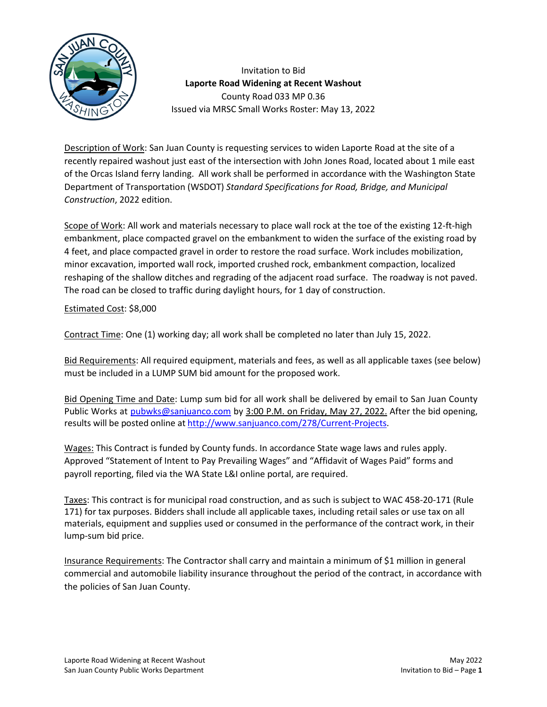

Invitation to Bid **Laporte Road Widening at Recent Washout** County Road 033 MP 0.36 Issued via MRSC Small Works Roster: May 13, 2022

Description of Work: San Juan County is requesting services to widen Laporte Road at the site of a recently repaired washout just east of the intersection with John Jones Road, located about 1 mile east of the Orcas Island ferry landing. All work shall be performed in accordance with the Washington State Department of Transportation (WSDOT) *Standard Specifications for Road, Bridge, and Municipal Construction*, 2022 edition.

Scope of Work: All work and materials necessary to place wall rock at the toe of the existing 12-ft-high embankment, place compacted gravel on the embankment to widen the surface of the existing road by 4 feet, and place compacted gravel in order to restore the road surface. Work includes mobilization, minor excavation, imported wall rock, imported crushed rock, embankment compaction, localized reshaping of the shallow ditches and regrading of the adjacent road surface. The roadway is not paved. The road can be closed to traffic during daylight hours, for 1 day of construction.

Estimated Cost: \$8,000

Contract Time: One (1) working day; all work shall be completed no later than July 15, 2022.

Bid Requirements: All required equipment, materials and fees, as well as all applicable taxes (see below) must be included in a LUMP SUM bid amount for the proposed work.

Bid Opening Time and Date: Lump sum bid for all work shall be delivered by email to San Juan County Public Works at [pubwks@sanjuanco.com](mailto:pubwks@sanjuanco.com) by 3:00 P.M. on Friday, May 27, 2022. After the bid opening, results will be posted online at [http://www.sanjuanco.com/278/Current-Projects.](http://www.sanjuanco.com/278/Current-Projects)

Wages: This Contract is funded by County funds. In accordance State wage laws and rules apply. Approved "Statement of Intent to Pay Prevailing Wages" and "Affidavit of Wages Paid" forms and payroll reporting, filed via the WA State L&I online portal, are required.

Taxes: This contract is for municipal road construction, and as such is subject to WAC 458-20-171 (Rule 171) for tax purposes. Bidders shall include all applicable taxes, including retail sales or use tax on all materials, equipment and supplies used or consumed in the performance of the contract work, in their lump-sum bid price.

Insurance Requirements: The Contractor shall carry and maintain a minimum of \$1 million in general commercial and automobile liability insurance throughout the period of the contract, in accordance with the policies of San Juan County.